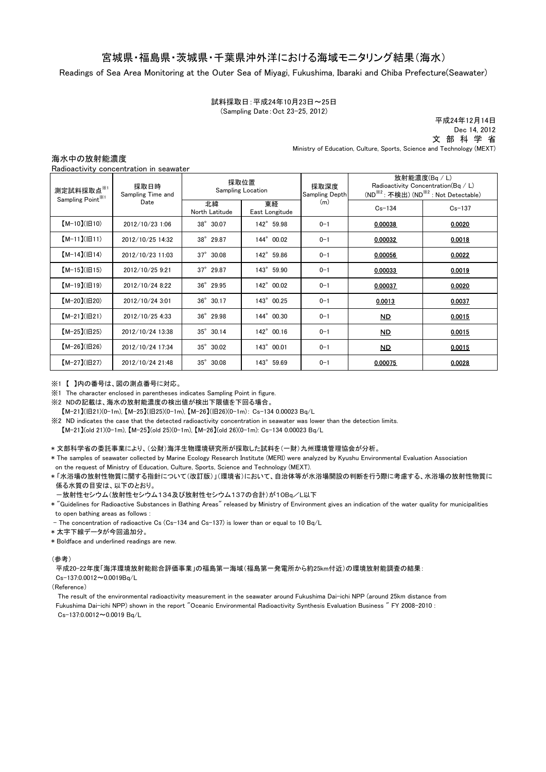## 宮城県・福島県・茨城県・千葉県沖外洋における海域モニタリング結果(海水)

Readings of Sea Area Monitoring at the Outer Sea of Miyagi, Fukushima, Ibaraki and Chiba Prefecture(Seawater)

試料採取日:平成24年10月23日~25日 (Sampling Date:Oct 23-25, 2012)

 文 部 科 学 省 Ministry of Education, Culture, Sports, Science and Technology (MEXT) 平成24年12月14日 Dec 14, 2012

海水中の放射能濃度

|  |  | Radioactivity concentration in seawater |  |  |
|--|--|-----------------------------------------|--|--|
|--|--|-----------------------------------------|--|--|

| 採取日時<br>測定試料採取点※1<br>Sampling Time and<br>Sampling Point <sup>※1</sup><br>Date | 採取位置<br>Sampling Location |                       | 採取深度<br>Sampling Depth | 放射能濃度(Bq/L)<br>Radioactivity Concentration( $\text{Bq}$ / L)<br>(ND <sup>※2</sup> : 不検出) (ND <sup>※2</sup> : Not Detectable) |                          |            |
|--------------------------------------------------------------------------------|---------------------------|-----------------------|------------------------|------------------------------------------------------------------------------------------------------------------------------|--------------------------|------------|
|                                                                                |                           | 北緯<br>North Latitude  | 東経<br>East Longitude   | (m)                                                                                                                          | $Cs - 134$               | $Cs - 137$ |
| $[M-10](H10)$                                                                  | 2012/10/23 1:06           | $38^\circ$<br>30.07   | 142° 59.98             | $0 - 1$                                                                                                                      | 0.00038                  | 0.0020     |
| $[M-11](H11)$                                                                  | 2012/10/25 14:32          | 38° 29.87             | 144° 00.02             | $0 - 1$                                                                                                                      | 0.00032                  | 0.0018     |
| $[M-14](H14)$                                                                  | 2012/10/23 11:03          | $37^\circ$<br>30.08   | 142° 59.86             | $0 - 1$                                                                                                                      | 0.00056                  | 0.0022     |
| $[M-15](H15)$                                                                  | 2012/10/25 9:21           | $37^\circ$<br>29.87   | 143° 59.90             | $0 - 1$                                                                                                                      | 0.00033                  | 0.0019     |
| $[M-19](H19)$                                                                  | 2012/10/24 8:22           | 36° 29.95             | 142° 00.02             | $0 - 1$                                                                                                                      | 0.00037                  | 0.0020     |
| $[M-20](H20)$                                                                  | 2012/10/24 3:01           | $36^{\circ}$<br>30.17 | 143° 00.25             | $0 - 1$                                                                                                                      | 0.0013                   | 0.0037     |
| $[M-21](H21)$                                                                  | 2012/10/25 4:33           | 36° 29.98             | 144° 00.30             | $0 - 1$                                                                                                                      | <u>ND</u>                | 0.0015     |
| $[M-25](H25)$                                                                  | 2012/10/24 13:38          | $35^\circ$<br>30.14   | 142° 00.16             | $0 - 1$                                                                                                                      | $\overline{\mathsf{ND}}$ | 0.0015     |
| $[M-26](H26)$                                                                  | 2012/10/24 17:34          | $35^\circ$<br>30.02   | 143° 00.01             | $0 - 1$                                                                                                                      | ND                       | 0.0015     |
| $[M-27](H27)$                                                                  | 2012/10/24 21:48          | $35^\circ$<br>30.08   | 143° 59.69             | $0 - 1$                                                                                                                      | 0.00075                  | 0.0028     |

## ※1 【 】内の番号は、図の測点番号に対応。

※1 The character enclosed in parentheses indicates Sampling Point in figure.

※2 NDの記載は、海水の放射能濃度の検出値が検出下限値を下回る場合。

【M-21】(旧21)(0-1m), 【M-25】(旧25)(0-1m), 【M-26】(旧26)(0-1m): Cs-134 0.00023 Bq/L

※2 ND indicates the case that the detected radioactivity concentration in seawater was lower than the detection limits.

【M-21】(old 21)(0-1m), 【M-25】(old 25)(0-1m), 【M-26】(old 26)(0-1m): Cs-134 0.00023 Bq/L

\* 文部科学省の委託事業により、(公財)海洋生物環境研究所が採取した試料を(一財)九州環境管理協会が分析。

\* The samples of seawater collected by Marine Ecology Research Institute (MERI) were analyzed by Kyushu Environmental Evaluation Association on the request of Ministry of Education, Culture, Sports, Science and Technology (MEXT).

\* 「水浴場の放射性物質に関する指針について(改訂版)」(環境省)において、自治体等が水浴場開設の判断を行う際に考慮する、水浴場の放射性物質に 係る水質の目安は、以下のとおり。

-放射性セシウム(放射性セシウム134及び放射性セシウム137の合計)が10Bq/L以下

\* "Guidelines for Radioactive Substances in Bathing Areas" released by Ministry of Environment gives an indication of the water quality for municipalities to open bathing areas as follows :

- The concentration of radioactive Cs (Cs-134 and Cs-137) is lower than or equal to 10 Bq/L

\* 太字下線データが今回追加分。

\* Boldface and underlined readings are new.

(参考)

 平成20-22年度「海洋環境放射能総合評価事業」の福島第一海域(福島第一発電所から約25km付近)の環境放射能調査の結果:  $Cs - 137:0.0012 \approx 0.0019Bg/1$ 

(Reference)

 Fukushima Dai-ichi NPP) shown in the report "Oceanic Environmental Radioactivity Synthesis Evaluation Business " FY 2008-2010 : Cs-137:0.0012~0.0019 Bq/L The result of the environmental radioactivity measurement in the seawater around Fukushima Dai-ichi NPP (around 25km distance from